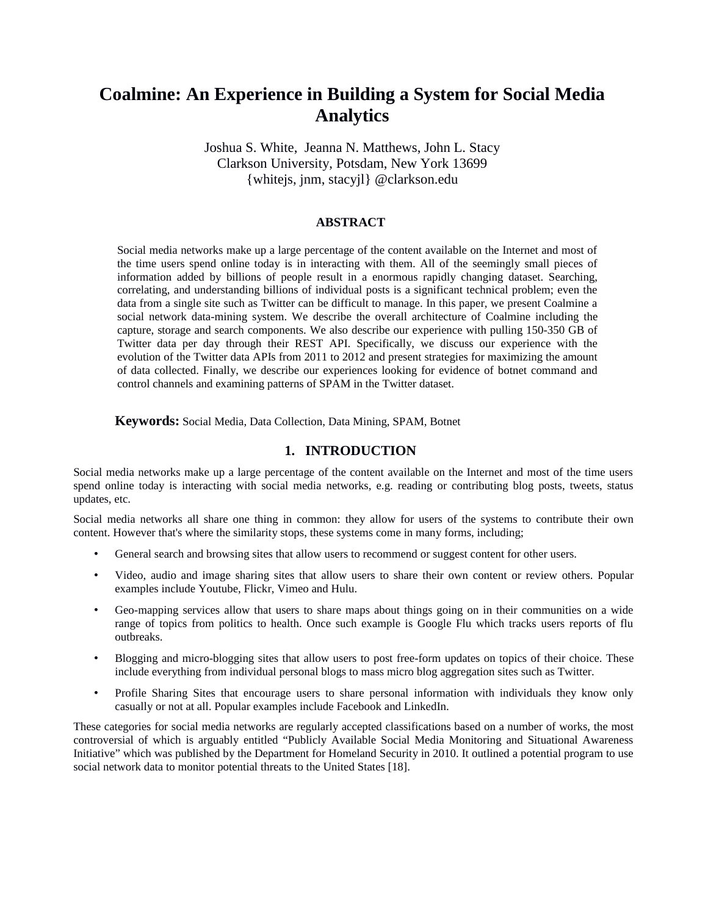# **Coalmine: An Experience in Building a System for Social Media Analytics**

Joshua S. White, Jeanna N. Matthews, John L. Stacy Clarkson University, Potsdam, New York 13699 {whitejs, jnm, stacyjl} @clarkson.edu

### **ABSTRACT**

Social media networks make up a large percentage of the content available on the Internet and most of the time users spend online today is in interacting with them. All of the seemingly small pieces of information added by billions of people result in a enormous rapidly changing dataset. Searching, correlating, and understanding billions of individual posts is a significant technical problem; even the data from a single site such as Twitter can be difficult to manage. In this paper, we present Coalmine a social network data-mining system. We describe the overall architecture of Coalmine including the capture, storage and search components. We also describe our experience with pulling 150-350 GB of Twitter data per day through their REST API. Specifically, we discuss our experience with the evolution of the Twitter data APIs from 2011 to 2012 and present strategies for maximizing the amount of data collected. Finally, we describe our experiences looking for evidence of botnet command and control channels and examining patterns of SPAM in the Twitter dataset.

**Keywords:** Social Media, Data Collection, Data Mining, SPAM, Botnet

## **1. INTRODUCTION**

Social media networks make up a large percentage of the content available on the Internet and most of the time users spend online today is interacting with social media networks, e.g. reading or contributing blog posts, tweets, status updates, etc.

Social media networks all share one thing in common: they allow for users of the systems to contribute their own content. However that's where the similarity stops, these systems come in many forms, including;

- General search and browsing sites that allow users to recommend or suggest content for other users.
- Video, audio and image sharing sites that allow users to share their own content or review others. Popular examples include Youtube, Flickr, Vimeo and Hulu.
- Geo-mapping services allow that users to share maps about things going on in their communities on a wide range of topics from politics to health. Once such example is Google Flu which tracks users reports of flu outbreaks.
- Blogging and micro-blogging sites that allow users to post free-form updates on topics of their choice. These include everything from individual personal blogs to mass micro blog aggregation sites such as Twitter.
- Profile Sharing Sites that encourage users to share personal information with individuals they know only casually or not at all. Popular examples include Facebook and LinkedIn.

These categories for social media networks are regularly accepted classifications based on a number of works, the most controversial of which is arguably entitled "Publicly Available Social Media Monitoring and Situational Awareness Initiative" which was published by the Department for Homeland Security in 2010. It outlined a potential program to use social network data to monitor potential threats to the United States [18].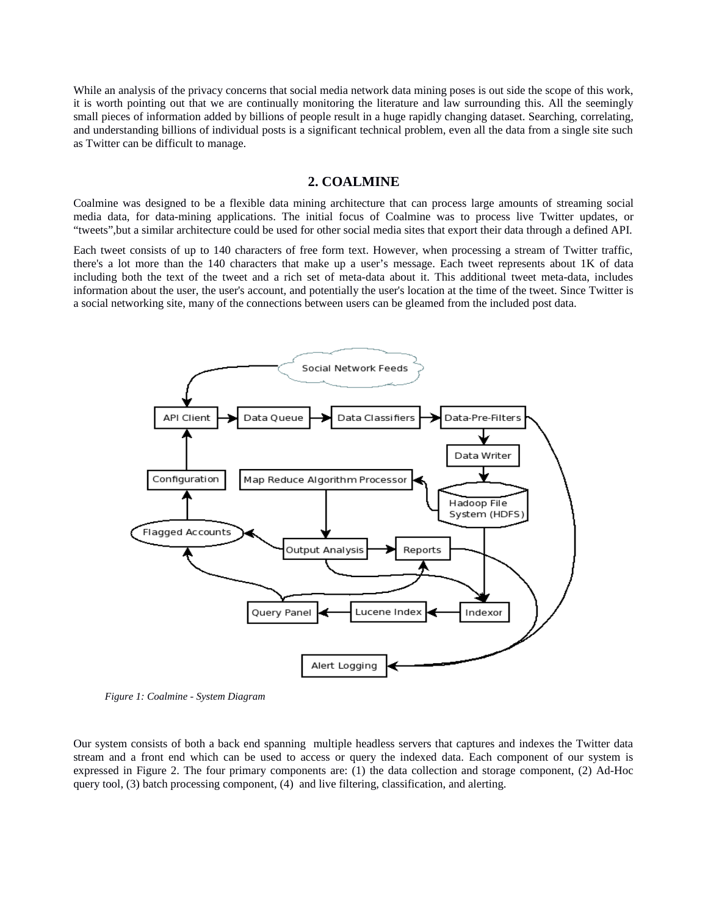While an analysis of the privacy concerns that social media network data mining poses is out side the scope of this work, it is worth pointing out that we are continually monitoring the literature and law surrounding this. All the seemingly small pieces of information added by billions of people result in a huge rapidly changing dataset. Searching, correlating, and understanding billions of individual posts is a significant technical problem, even all the data from a single site such as Twitter can be difficult to manage.

#### **2. COALMINE**

Coalmine was designed to be a flexible data mining architecture that can process large amounts of streaming social media data, for data-mining applications. The initial focus of Coalmine was to process live Twitter updates, or "tweets",but a similar architecture could be used for other social media sites that export their data through a defined API.

Each tweet consists of up to 140 characters of free form text. However, when processing a stream of Twitter traffic, there's a lot more than the 140 characters that make up a user's message. Each tweet represents about 1K of data including both the text of the tweet and a rich set of meta-data about it. This additional tweet meta-data, includes information about the user, the user's account, and potentially the user's location at the time of the tweet. Since Twitter is a social networking site, many of the connections between users can be gleamed from the included post data.



*Figure 1: Coalmine - System Diagram*

Our system consists of both a back end spanning multiple headless servers that captures and indexes the Twitter data stream and a front end which can be used to access or query the indexed data. Each component of our system is expressed in Figure 2. The four primary components are: (1) the data collection and storage component, (2) Ad-Hoc query tool, (3) batch processing component, (4) and live filtering, classification, and alerting.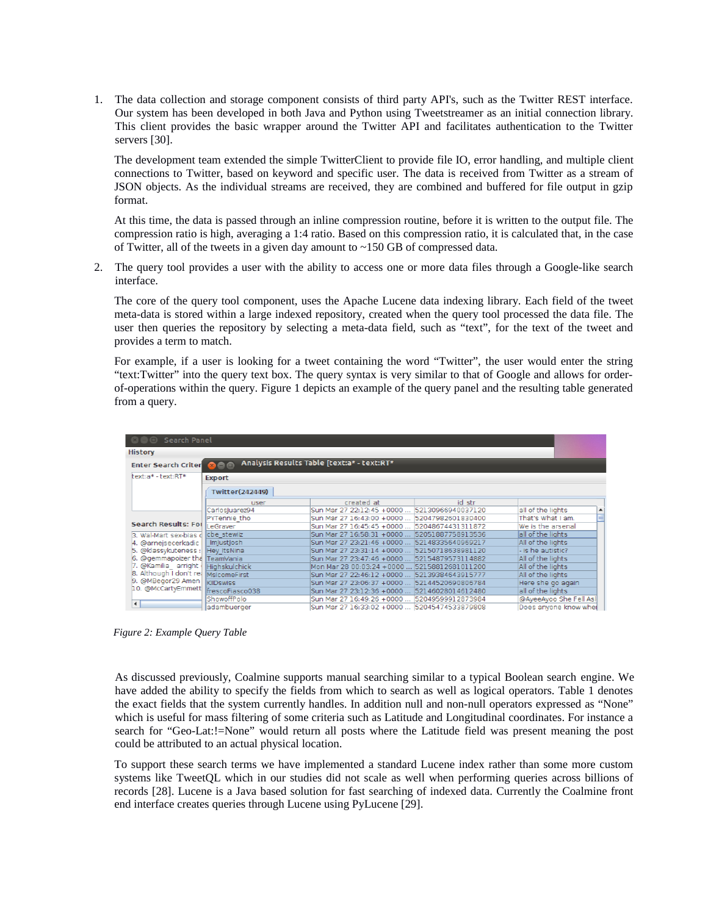1. The data collection and storage component consists of third party API's, such as the Twitter REST interface. Our system has been developed in both Java and Python using Tweetstreamer as an initial connection library. This client provides the basic wrapper around the Twitter API and facilitates authentication to the Twitter servers [30].

The development team extended the simple TwitterClient to provide file IO, error handling, and multiple client connections to Twitter, based on keyword and specific user. The data is received from Twitter as a stream of JSON objects. As the individual streams are received, they are combined and buffered for file output in gzip format.

At this time, the data is passed through an inline compression routine, before it is written to the output file. The compression ratio is high, averaging a 1:4 ratio. Based on this compression ratio, it is calculated that, in the case of Twitter, all of the tweets in a given day amount to  $\sim$ 150 GB of compressed data.

2. The query tool provides a user with the ability to access one or more data files through a Google-like search interface.

The core of the query tool component, uses the Apache Lucene data indexing library. Each field of the tweet meta-data is stored within a large indexed repository, created when the query tool processed the data file. The user then queries the repository by selecting a meta-data field, such as "text", for the text of the tweet and provides a term to match.

For example, if a user is looking for a tweet containing the word "Twitter", the user would enter the string "text:Twitter" into the query text box. The query syntax is very similar to that of Google and allows for orderof-operations within the query. Figure 1 depicts an example of the query panel and the resulting table generated from a query.

| <b>BBB</b> Search Panel    |                 |                                            |                   |                                               |
|----------------------------|-----------------|--------------------------------------------|-------------------|-----------------------------------------------|
| <b>History</b>             |                 | Analysis Results Table [text:a* - text:RT* |                   |                                               |
| <b>Enter Search Criter</b> | 000             |                                            |                   |                                               |
| text:a* - text:RT*         | Export          |                                            |                   |                                               |
|                            | Twitter(242449) |                                            |                   |                                               |
|                            | user            | created at                                 | id str            |                                               |
|                            | Carlosjuarez94  | Sun Mar 27 22:12:45 +0000                  | 52130966940037120 | all of the lights<br>$\left  \bullet \right $ |
|                            | PYTennie tho    | Sun Mar 27 16:43:00 +0000                  | 52047982601830400 | That's What I am.                             |
| Search Results: For        | eGraver         | Sun Mar 27 16:45:45 +0000                  | 52048674431311872 | We is the arsenal                             |
| 3. Wal-Mart sex-bias d     | Icbe stewiz     | Sun Mar 27 16:58:31 +0000                  | 52051887758913536 | all of the lights                             |
| 4. @arneisecerkadic        | Imjustjosh      | Sun Mar 27 23:21:46 +0000                  | 52148335640969217 | All of the lights                             |
| 5. @klassykuteness:        | Hey ItsNina     | Sun Mar 27 23:31:14 +0000                  | 52150718638981120 | - is he autistic?                             |
| 6. @gemmapoizer tha        | TeamVania       | Sun Mar 27 23:47:46 +0000                  | 52154879573114882 | All of the lights                             |
| 7. @Kamilia arright        | Highskulchick   | Mon Mar 28 00:03:24 +0000                  | 52158812681011200 | All of the lights                             |
| 8. Although I don't rea    | MsIcomeFirst    | Sun Mar 27 22:46:12 +0000                  | 52139384643915777 | All of the lights                             |
| 9. @MBegor29 Amen          | KIIDswiss       | Sun Mar 27 23:06:37 +0000                  | 52144520690806784 | Here she go again                             |
| 10. @McCartyEmmett         | frescoFiasco038 | Sun Mar 27 23:12:36 +0000                  | 52146028014612480 | all of the lights                             |
|                            | ShowoffPolo     | Sun Mar 27 16:49:26 +0000                  | 52049599912873984 | @AyeeAyoo She Fell Asl                        |
| $\overline{4}$             | adambuerger     | Sun Mar 27 16:33:02 +0000                  | 52045474533879808 | Does anyone know when                         |

*Figure 2: Example Query Table*

As discussed previously, Coalmine supports manual searching similar to a typical Boolean search engine. We have added the ability to specify the fields from which to search as well as logical operators. Table 1 denotes the exact fields that the system currently handles. In addition null and non-null operators expressed as "None" which is useful for mass filtering of some criteria such as Latitude and Longitudinal coordinates. For instance a search for "Geo-Lat:!=None" would return all posts where the Latitude field was present meaning the post could be attributed to an actual physical location.

To support these search terms we have implemented a standard Lucene index rather than some more custom systems like TweetQL which in our studies did not scale as well when performing queries across billions of records [28]. Lucene is a Java based solution for fast searching of indexed data. Currently the Coalmine front end interface creates queries through Lucene using PyLucene [29].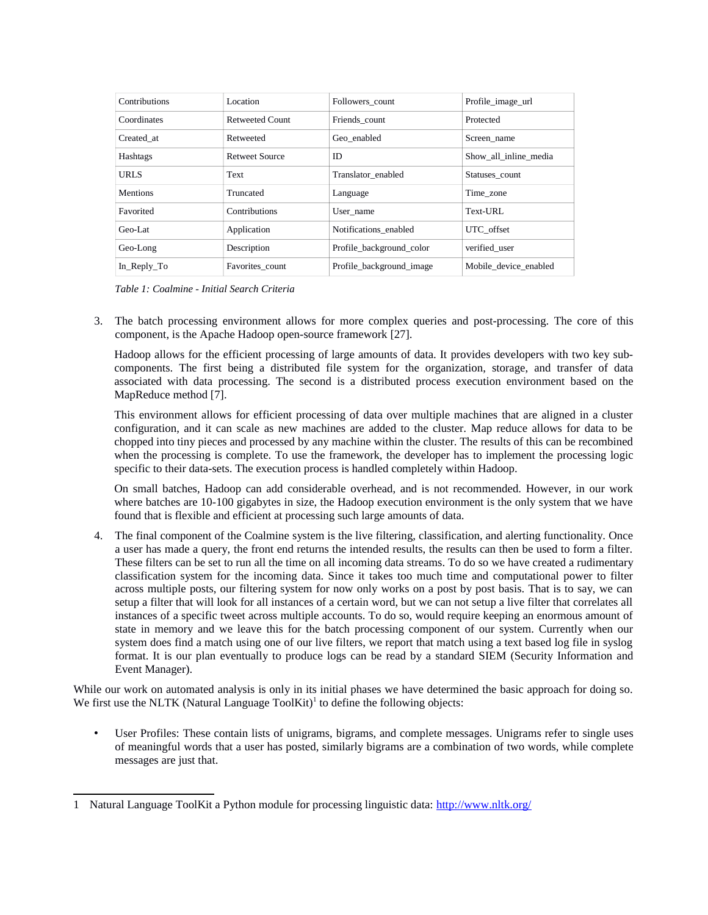| Contributions   | Location        | Followers_count          | Profile image url     |
|-----------------|-----------------|--------------------------|-----------------------|
| Coordinates     | Retweeted Count | Friends count            | Protected             |
| Created at      | Retweeted       | Geo enabled              | Screen name           |
| Hashtags        | Retweet Source  | ID.                      | Show all inline media |
| URLS.           | Text            | Translator enabled       | Statuses count        |
| <b>Mentions</b> | Truncated       | Language                 | Time zone             |
| Favorited       | Contributions   | User name                | Text-URL              |
| Geo-Lat         | Application     | Notifications enabled    | UTC offset            |
| Geo-Long        | Description     | Profile background color | verified_user         |
| In_Reply_To     | Favorites_count | Profile background image | Mobile device enabled |

*Table 1: Coalmine - Initial Search Criteria*

3. The batch processing environment allows for more complex queries and post-processing. The core of this component, is the Apache Hadoop open-source framework [27].

Hadoop allows for the efficient processing of large amounts of data. It provides developers with two key subcomponents. The first being a distributed file system for the organization, storage, and transfer of data associated with data processing. The second is a distributed process execution environment based on the MapReduce method [7].

This environment allows for efficient processing of data over multiple machines that are aligned in a cluster configuration, and it can scale as new machines are added to the cluster. Map reduce allows for data to be chopped into tiny pieces and processed by any machine within the cluster. The results of this can be recombined when the processing is complete. To use the framework, the developer has to implement the processing logic specific to their data-sets. The execution process is handled completely within Hadoop.

On small batches, Hadoop can add considerable overhead, and is not recommended. However, in our work where batches are 10-100 gigabytes in size, the Hadoop execution environment is the only system that we have found that is flexible and efficient at processing such large amounts of data.

4. The final component of the Coalmine system is the live filtering, classification, and alerting functionality. Once a user has made a query, the front end returns the intended results, the results can then be used to form a filter. These filters can be set to run all the time on all incoming data streams. To do so we have created a rudimentary classification system for the incoming data. Since it takes too much time and computational power to filter across multiple posts, our filtering system for now only works on a post by post basis. That is to say, we can setup a filter that will look for all instances of a certain word, but we can not setup a live filter that correlates all instances of a specific tweet across multiple accounts. To do so, would require keeping an enormous amount of state in memory and we leave this for the batch processing component of our system. Currently when our system does find a match using one of our live filters, we report that match using a text based log file in syslog format. It is our plan eventually to produce logs can be read by a standard SIEM (Security Information and Event Manager).

While our work on automated analysis is only in its initial phases we have determined the basic approach for doing so. We first use the NLTK (Natural Language  $ToolKit)$ <sup>[1](#page-3-0)</sup> to define the following objects:

 User Profiles: These contain lists of unigrams, bigrams, and complete messages. Unigrams refer to single uses of meaningful words that a user has posted, similarly bigrams are a combination of two words, while complete messages are just that.

<span id="page-3-0"></span><sup>1</sup> Natural Language ToolKit a Python module for processing linguistic data:<http://www.nltk.org/>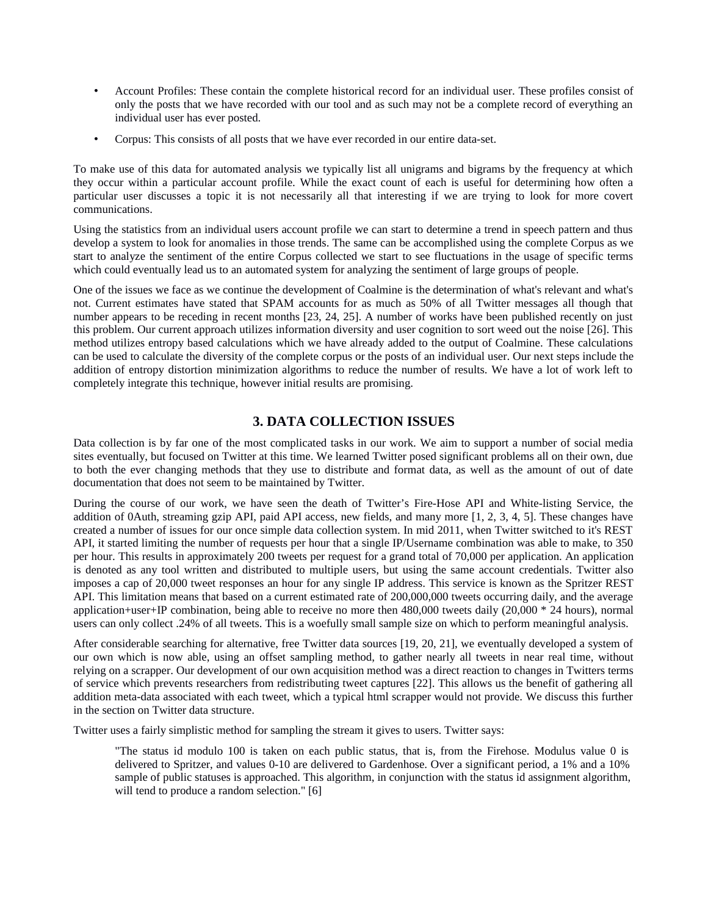- Account Profiles: These contain the complete historical record for an individual user. These profiles consist of only the posts that we have recorded with our tool and as such may not be a complete record of everything an individual user has ever posted.
- Corpus: This consists of all posts that we have ever recorded in our entire data-set.

To make use of this data for automated analysis we typically list all unigrams and bigrams by the frequency at which they occur within a particular account profile. While the exact count of each is useful for determining how often a particular user discusses a topic it is not necessarily all that interesting if we are trying to look for more covert communications.

Using the statistics from an individual users account profile we can start to determine a trend in speech pattern and thus develop a system to look for anomalies in those trends. The same can be accomplished using the complete Corpus as we start to analyze the sentiment of the entire Corpus collected we start to see fluctuations in the usage of specific terms which could eventually lead us to an automated system for analyzing the sentiment of large groups of people.

One of the issues we face as we continue the development of Coalmine is the determination of what's relevant and what's not. Current estimates have stated that SPAM accounts for as much as 50% of all Twitter messages all though that number appears to be receding in recent months [23, 24, 25]. A number of works have been published recently on just this problem. Our current approach utilizes information diversity and user cognition to sort weed out the noise [26]. This method utilizes entropy based calculations which we have already added to the output of Coalmine. These calculations can be used to calculate the diversity of the complete corpus or the posts of an individual user. Our next steps include the addition of entropy distortion minimization algorithms to reduce the number of results. We have a lot of work left to completely integrate this technique, however initial results are promising.

## **3. DATA COLLECTION ISSUES**

Data collection is by far one of the most complicated tasks in our work. We aim to support a number of social media sites eventually, but focused on Twitter at this time. We learned Twitter posed significant problems all on their own, due to both the ever changing methods that they use to distribute and format data, as well as the amount of out of date documentation that does not seem to be maintained by Twitter.

During the course of our work, we have seen the death of Twitter's Fire-Hose API and White-listing Service, the addition of 0Auth, streaming gzip API, paid API access, new fields, and many more [1, 2, 3, 4, 5]. These changes have created a number of issues for our once simple data collection system. In mid 2011, when Twitter switched to it's REST API, it started limiting the number of requests per hour that a single IP/Username combination was able to make, to 350 per hour. This results in approximately 200 tweets per request for a grand total of 70,000 per application. An application is denoted as any tool written and distributed to multiple users, but using the same account credentials. Twitter also imposes a cap of 20,000 tweet responses an hour for any single IP address. This service is known as the Spritzer REST API. This limitation means that based on a current estimated rate of 200,000,000 tweets occurring daily, and the average application+user+IP combination, being able to receive no more then 480,000 tweets daily (20,000 \* 24 hours), normal users can only collect .24% of all tweets. This is a woefully small sample size on which to perform meaningful analysis.

After considerable searching for alternative, free Twitter data sources [19, 20, 21], we eventually developed a system of our own which is now able, using an offset sampling method, to gather nearly all tweets in near real time, without relying on a scrapper. Our development of our own acquisition method was a direct reaction to changes in Twitters terms of service which prevents researchers from redistributing tweet captures [22]. This allows us the benefit of gathering all addition meta-data associated with each tweet, which a typical html scrapper would not provide. We discuss this further in the section on Twitter data structure.

Twitter uses a fairly simplistic method for sampling the stream it gives to users. Twitter says:

"The status id modulo 100 is taken on each public status, that is, from the Firehose. Modulus value 0 is delivered to Spritzer, and values 0-10 are delivered to Gardenhose. Over a significant period, a 1% and a 10% sample of public statuses is approached. This algorithm, in conjunction with the status id assignment algorithm, will tend to produce a random selection." [6]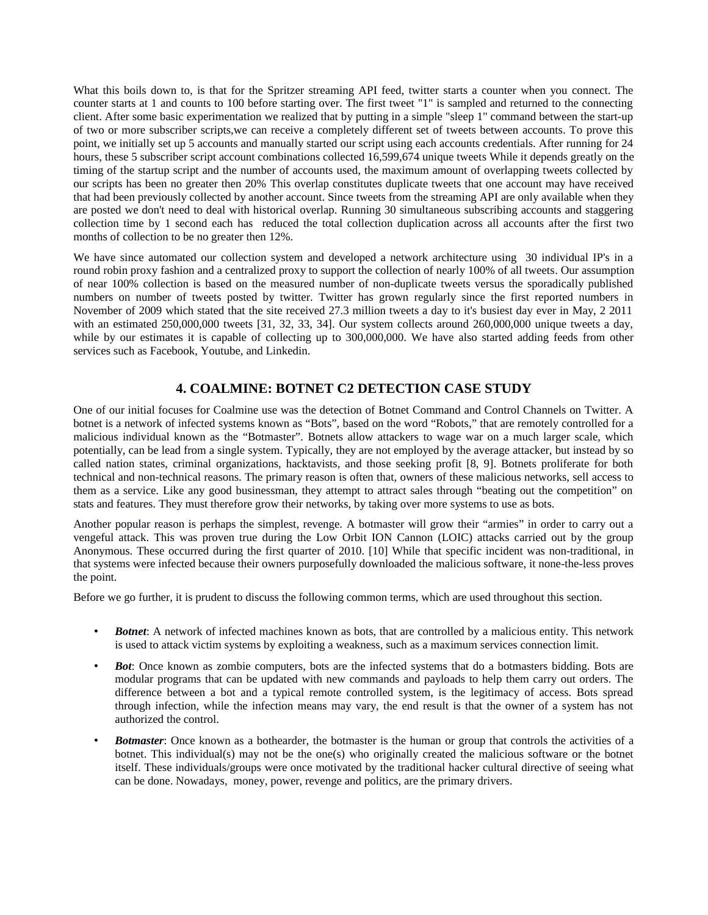What this boils down to, is that for the Spritzer streaming API feed, twitter starts a counter when you connect. The counter starts at 1 and counts to 100 before starting over. The first tweet "1" is sampled and returned to the connecting client. After some basic experimentation we realized that by putting in a simple "sleep 1" command between the start-up of two or more subscriber scripts,we can receive a completely different set of tweets between accounts. To prove this point, we initially set up 5 accounts and manually started our script using each accounts credentials. After running for 24 hours, these 5 subscriber script account combinations collected 16,599,674 unique tweets While it depends greatly on the timing of the startup script and the number of accounts used, the maximum amount of overlapping tweets collected by our scripts has been no greater then 20% This overlap constitutes duplicate tweets that one account may have received that had been previously collected by another account. Since tweets from the streaming API are only available when they are posted we don't need to deal with historical overlap. Running 30 simultaneous subscribing accounts and staggering collection time by 1 second each has reduced the total collection duplication across all accounts after the first two months of collection to be no greater then 12%.

We have since automated our collection system and developed a network architecture using 30 individual IP's in a round robin proxy fashion and a centralized proxy to support the collection of nearly 100% of all tweets. Our assumption of near 100% collection is based on the measured number of non-duplicate tweets versus the sporadically published numbers on number of tweets posted by twitter. Twitter has grown regularly since the first reported numbers in November of 2009 which stated that the site received 27.3 million tweets a day to it's busiest day ever in May, 2 2011 with an estimated 250,000,000 tweets [31, 32, 33, 34]. Our system collects around 260,000,000 unique tweets a day, while by our estimates it is capable of collecting up to 300,000,000. We have also started adding feeds from other services such as Facebook, Youtube, and Linkedin.

## **4. COALMINE: BOTNET C2 DETECTION CASE STUDY**

One of our initial focuses for Coalmine use was the detection of Botnet Command and Control Channels on Twitter. A botnet is a network of infected systems known as "Bots", based on the word "Robots," that are remotely controlled for a malicious individual known as the "Botmaster". Botnets allow attackers to wage war on a much larger scale, which potentially, can be lead from a single system. Typically, they are not employed by the average attacker, but instead by so called nation states, criminal organizations, hacktavists, and those seeking profit [8, 9]. Botnets proliferate for both technical and non-technical reasons. The primary reason is often that, owners of these malicious networks, sell access to them as a service. Like any good businessman, they attempt to attract sales through "beating out the competition" on stats and features. They must therefore grow their networks, by taking over more systems to use as bots.

Another popular reason is perhaps the simplest, revenge. A botmaster will grow their "armies" in order to carry out a vengeful attack. This was proven true during the Low Orbit ION Cannon (LOIC) attacks carried out by the group Anonymous. These occurred during the first quarter of 2010. [10] While that specific incident was non-traditional, in that systems were infected because their owners purposefully downloaded the malicious software, it none-the-less proves the point.

Before we go further, it is prudent to discuss the following common terms, which are used throughout this section.

- *Botnet*: A network of infected machines known as bots, that are controlled by a malicious entity. This network is used to attack victim systems by exploiting a weakness, such as a maximum services connection limit.
- *Bot*: Once known as zombie computers, bots are the infected systems that do a botmasters bidding. Bots are modular programs that can be updated with new commands and payloads to help them carry out orders. The difference between a bot and a typical remote controlled system, is the legitimacy of access. Bots spread through infection, while the infection means may vary, the end result is that the owner of a system has not authorized the control.
- *Botmaster*: Once known as a bothearder, the botmaster is the human or group that controls the activities of a botnet. This individual(s) may not be the one(s) who originally created the malicious software or the botnet itself. These individuals/groups were once motivated by the traditional hacker cultural directive of seeing what can be done. Nowadays, money, power, revenge and politics, are the primary drivers.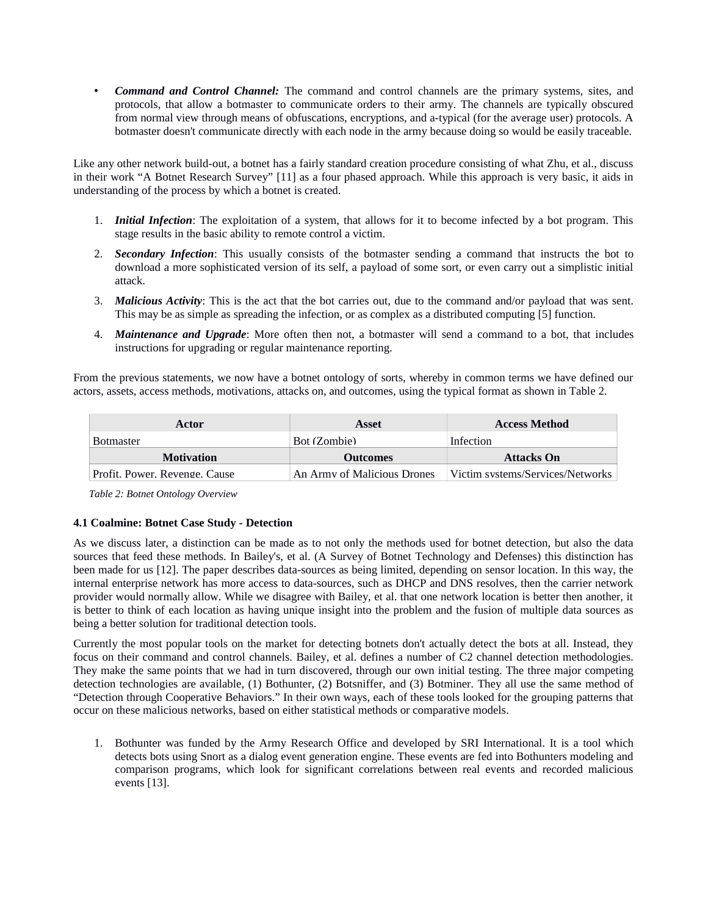*Command and Control Channel:* The command and control channels are the primary systems, sites, and protocols, that allow a botmaster to communicate orders to their army. The channels are typically obscured from normal view through means of obfuscations, encryptions, and a-typical (for the average user) protocols. A botmaster doesn't communicate directly with each node in the army because doing so would be easily traceable.

Like any other network build-out, a botnet has a fairly standard creation procedure consisting of what Zhu, et al., discuss in their work "A Botnet Research Survey" [11] as a four phased approach. While this approach is very basic, it aids in understanding of the process by which a botnet is created.

- 1. *Initial Infection*: The exploitation of a system, that allows for it to become infected by a bot program. This stage results in the basic ability to remote control a victim.
- 2. *Secondary Infection*: This usually consists of the botmaster sending a command that instructs the bot to download a more sophisticated version of its self, a payload of some sort, or even carry out a simplistic initial attack.
- 3. *Malicious Activity*: This is the act that the bot carries out, due to the command and/or payload that was sent. This may be as simple as spreading the infection, or as complex as a distributed computing [5] function.
- 4. *Maintenance and Upgrade*: More often then not, a botmaster will send a command to a bot, that includes instructions for upgrading or regular maintenance reporting.

From the previous statements, we now have a botnet ontology of sorts, whereby in common terms we have defined our actors, assets, access methods, motivations, attacks on, and outcomes, using the typical format as shown in Table 2.

| Actor                         | Asset                       | <b>Access Method</b>             |  |
|-------------------------------|-----------------------------|----------------------------------|--|
| <b>Botmaster</b>              | Bot (Zombie)                | <b>Infection</b>                 |  |
| <b>Motivation</b>             | <b>Outcomes</b>             | Attacks On                       |  |
| Profit, Power, Revenge, Cause | An Army of Malicious Drones | Victim systems/Services/Networks |  |

 *Table 2: Botnet Ontology Overview*

#### **4.1 Coalmine: Botnet Case Study - Detection**

As we discuss later, a distinction can be made as to not only the methods used for botnet detection, but also the data sources that feed these methods. In Bailey's, et al. (A Survey of Botnet Technology and Defenses) this distinction has been made for us [12]. The paper describes data-sources as being limited, depending on sensor location. In this way, the internal enterprise network has more access to data-sources, such as DHCP and DNS resolves, then the carrier network provider would normally allow. While we disagree with Bailey, et al. that one network location is better then another, it is better to think of each location as having unique insight into the problem and the fusion of multiple data sources as being a better solution for traditional detection tools.

Currently the most popular tools on the market for detecting botnets don't actually detect the bots at all. Instead, they focus on their command and control channels. Bailey, et al. defines a number of C2 channel detection methodologies. They make the same points that we had in turn discovered, through our own initial testing. The three major competing detection technologies are available, (1) Bothunter, (2) Botsniffer, and (3) Botminer. They all use the same method of "Detection through Cooperative Behaviors." In their own ways, each of these tools looked for the grouping patterns that occur on these malicious networks, based on either statistical methods or comparative models.

1. Bothunter was funded by the Army Research Office and developed by SRI International. It is a tool which detects bots using Snort as a dialog event generation engine. These events are fed into Bothunters modeling and comparison programs, which look for significant correlations between real events and recorded malicious events [13].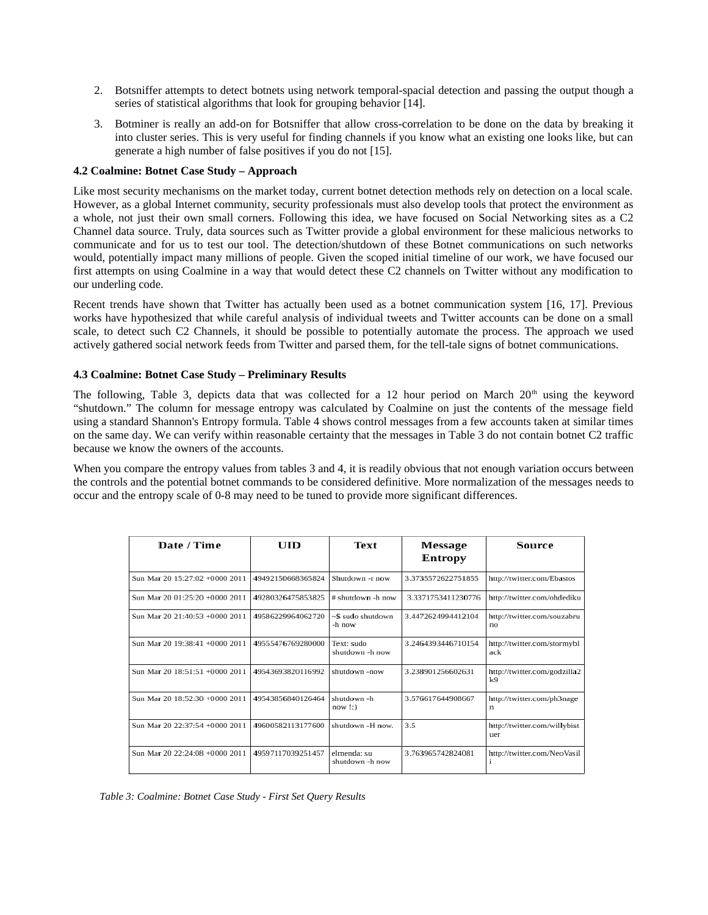- 2. Botsniffer attempts to detect botnets using network temporal-spacial detection and passing the output though a series of statistical algorithms that look for grouping behavior [14].
- 3. Botminer is really an add-on for Botsniffer that allow cross-correlation to be done on the data by breaking it into cluster series. This is very useful for finding channels if you know what an existing one looks like, but can generate a high number of false positives if you do not [15].

#### **4.2 Coalmine: Botnet Case Study – Approach**

Like most security mechanisms on the market today, current botnet detection methods rely on detection on a local scale. However, as a global Internet community, security professionals must also develop tools that protect the environment as a whole, not just their own small corners. Following this idea, we have focused on Social Networking sites as a C2 Channel data source. Truly, data sources such as Twitter provide a global environment for these malicious networks to communicate and for us to test our tool. The detection/shutdown of these Botnet communications on such networks would, potentially impact many millions of people. Given the scoped initial timeline of our work, we have focused our first attempts on using Coalmine in a way that would detect these C2 channels on Twitter without any modification to our underling code.

Recent trends have shown that Twitter has actually been used as a botnet communication system [16, 17]. Previous works have hypothesized that while careful analysis of individual tweets and Twitter accounts can be done on a small scale, to detect such C2 Channels, it should be possible to potentially automate the process. The approach we used actively gathered social network feeds from Twitter and parsed them, for the tell-tale signs of botnet communications.

#### **4.3 Coalmine: Botnet Case Study – Preliminary Results**

The following, Table 3, depicts data that was collected for a 12 hour period on March  $20<sup>th</sup>$  using the keyword "shutdown." The column for message entropy was calculated by Coalmine on just the contents of the message field using a standard Shannon's Entropy formula. Table 4 shows control messages from a few accounts taken at similar times on the same day. We can verify within reasonable certainty that the messages in Table 3 do not contain botnet C2 traffic because we know the owners of the accounts.

When you compare the entropy values from tables 3 and 4, it is readily obvious that not enough variation occurs between the controls and the potential botnet commands to be considered definitive. More normalization of the messages needs to occur and the entropy scale of 0-8 may need to be tuned to provide more significant differences.

| Date / Time                    | UID               | Text                           | Message<br>Entropy | Source                              |
|--------------------------------|-------------------|--------------------------------|--------------------|-------------------------------------|
| Sun Mar 20 15:27:02 +0000 2011 | 49492150668365824 | Shutdown -r now                | 3.3735572622751855 | http://twitter.com/Ebastos          |
| Sun Mar 20 01:25:20 +0000 2011 | 49280326475853825 | # shutdown -h now              | 3.3371753411230776 | http://twitter.com/ohdediku         |
| Sun Mar 20 21:40:53 +0000 2011 | 49586229964062720 | ~\$ sudo shutdown<br>-h now    | 3.4472624994412104 | http://twitter.com/souzabru<br>no   |
| Sun Mar 20 19:38:41 +0000 2011 | 49555476769280000 | Text: sudo<br>shutdown -h now  | 3.2464393446710154 | http://twitter.com/stormybl<br>ack  |
| Sun Mar 20 18:51:51 +0000 2011 | 49543693820116992 | shutdown -now                  | 3.238901256602631  | http://twitter.com/godzilla2<br>k9  |
| Sun Mar 20 18:52:30 +0000 2011 | 49543856840126464 | shutdown -h<br>$now$ $\vdots$  | 3.576617644908667  | http://twitter.com/ph3nage<br>n     |
| Sun Mar 20 22:37:54 +0000 2011 | 49600582113177600 | shutdown -H now.               | 3.5                | http://twitter.com/willybist<br>uer |
| Sun Mar 20 22:24:08 +0000 2011 | 49597117039251457 | elmenda: su<br>shutdown -h now | 3.763965742824081  | http://twitter.com/NeoVasil         |

 *Table 3: Coalmine: Botnet Case Study - First Set Query Results*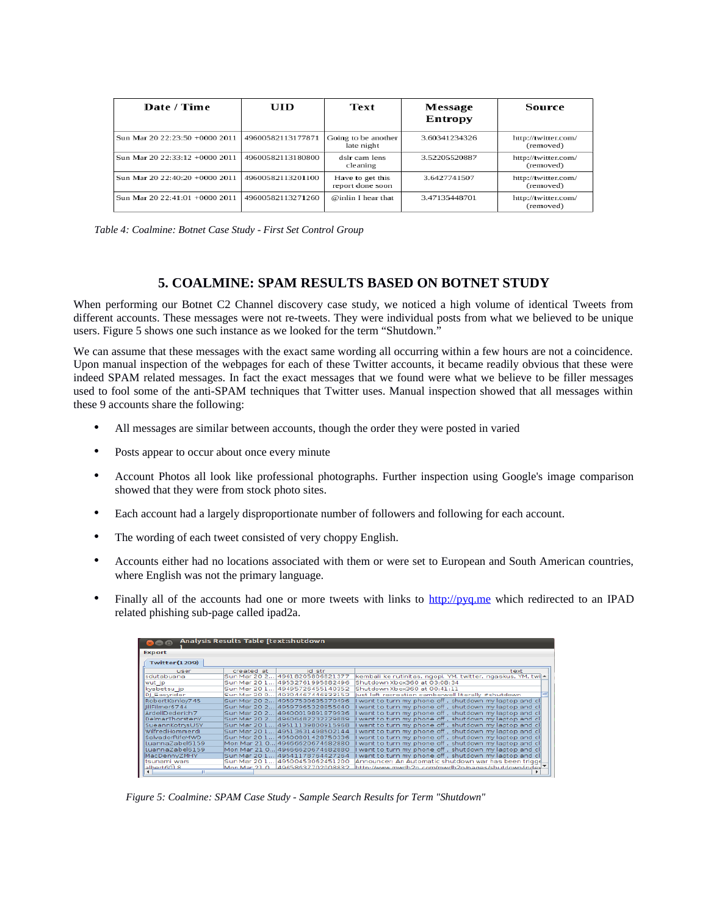| Date / Time                    | UID               | Text                                 | Message<br>Entropy | Source                           |
|--------------------------------|-------------------|--------------------------------------|--------------------|----------------------------------|
| Sun Mar 20 22:23:50 +0000 2011 | 49600582113177871 | Going to be another<br>late night    | 3.60341234326      | http://twitter.com/<br>(removed) |
| Sun Mar 20 22:33:12 +0000 2011 | 49600582113180800 | dslr cam lens<br>cleaning            | 3.52205520887      | http://twitter.com/<br>(removed) |
| Sun Mar 20 22:40:20 +0000 2011 | 49600582113201100 | Have to get this<br>report done soon | 3.6427741507       | http://twitter.com/<br>(removed) |
| Sun Mar 20 22:41:01 +0000 2011 | 49600582113271260 | $@$ inlin I hear that                | 3.47135448701      | http://twitter.com/<br>(removed) |



# **5. COALMINE: SPAM RESULTS BASED ON BOTNET STUDY**

When performing our Botnet C2 Channel discovery case study, we noticed a high volume of identical Tweets from different accounts. These messages were not re-tweets. They were individual posts from what we believed to be unique users. Figure 5 shows one such instance as we looked for the term "Shutdown."

We can assume that these messages with the exact same wording all occurring within a few hours are not a coincidence. Upon manual inspection of the webpages for each of these Twitter accounts, it became readily obvious that these were indeed SPAM related messages. In fact the exact messages that we found were what we believe to be filler messages used to fool some of the anti-SPAM techniques that Twitter uses. Manual inspection showed that all messages within these 9 accounts share the following:

- All messages are similar between accounts, though the order they were posted in varied
- Posts appear to occur about once every minute
- Account Photos all look like professional photographs. Further inspection using Google's image comparison showed that they were from stock photo sites.
- Each account had a largely disproportionate number of followers and following for each account.
- The wording of each tweet consisted of very choppy English.
- Accounts either had no locations associated with them or were set to European and South American countries, where English was not the primary language.
- Finally all of the accounts had one or more tweets with links to [http://pyq.me](http://pyq.me/) which redirected to an IPAD related phishing sub-page called ipad2a.

| $x \oplus \oplus$    | Analysis Results Table [text:shutdown |                                   |                                                              |
|----------------------|---------------------------------------|-----------------------------------|--------------------------------------------------------------|
| Export               |                                       |                                   |                                                              |
| Twitter(1209)        |                                       |                                   |                                                              |
| user                 | created at                            | id str                            | text                                                         |
| sdutabuana           | Sun Mar 20 2                          | 49618205806821377                 | kembali ke rutinitas, ngopi, YM, twitter, ngaskus, YM, twi ▲ |
| wut ip               | Sun Mar 20 1                          | 49532761995882496                 | Shutdown Xbox360 at 03:08:34                                 |
| kyabetsu jp          |                                       | Sun Mar 20 1 49495726455140352    | Shutdown Xbox360 at 00:41:11                                 |
| DJ Eacyridor         | Sun Mar 20 0                          | 40204467446822152                 | lust left recreation camberwell literally #shutdown          |
| RobertKenlev745      |                                       | Sun Mar 20 2 49597530635370496    | want to turn my phone off, shutdown my laptop and cl         |
| lillFilmer6744       | Sun Mar 20 2                          | 49597965328855040                 | want to turn my phone off, shutdown my laptop and c          |
| ArdellDederich7      | Sun Mar 20 2                          | 49600019891879936                 | want to turn my phone off, shutdown my laptop and c          |
| DelmarThorstenY      |                                       | Sun Mar 20 2 49606482232229889    | want to turn my phone off, shutdown my laptop and c          |
| SueannKotrvsUSY      |                                       | Sun Mar 20 1 4951 1139800915968   | want to turn my phone off, shutdown my laptop and c          |
| WilfredHommerdi      |                                       | Sun Mar 20 1 4951 3631 4985021 44 | want to turn my phone off, shutdown my laptop and c          |
| SalvadorRifeMWD      |                                       | Sun Mar 20 1 49500801428750336    | want to turn my phone off, shutdown my laptop and c          |
| LuannaZabel6159      |                                       | Mon Mar 21 0 49666620674682880    | want to turn my phone off, shutdown my laptop and cl         |
| LuannaZabel6159      |                                       | Mon Mar 21 0 49666620674682880    | want to turn my phone off, shutdown my laptop and cl         |
| <b>MacDennyZMHY</b>  |                                       | Sun Mar 20 1 49541178764427264    | want to turn my phone off, shutdown my laptop and cl         |
| tsunami wars         | Sun Mar 20 1                          | 49500453062451200                 | Announcer: An Automatic shutdown war has been trigge.        |
| albert6018           | Mon Mar 21.0                          | 49658637702008832                 | http://www.mwdb2o.com/mwdb2o/pages/shutdown/index            |
| $\blacktriangleleft$ |                                       |                                   |                                                              |

*Figure 5: Coalmine: SPAM Case Study - Sample Search Results for Term "Shutdown"*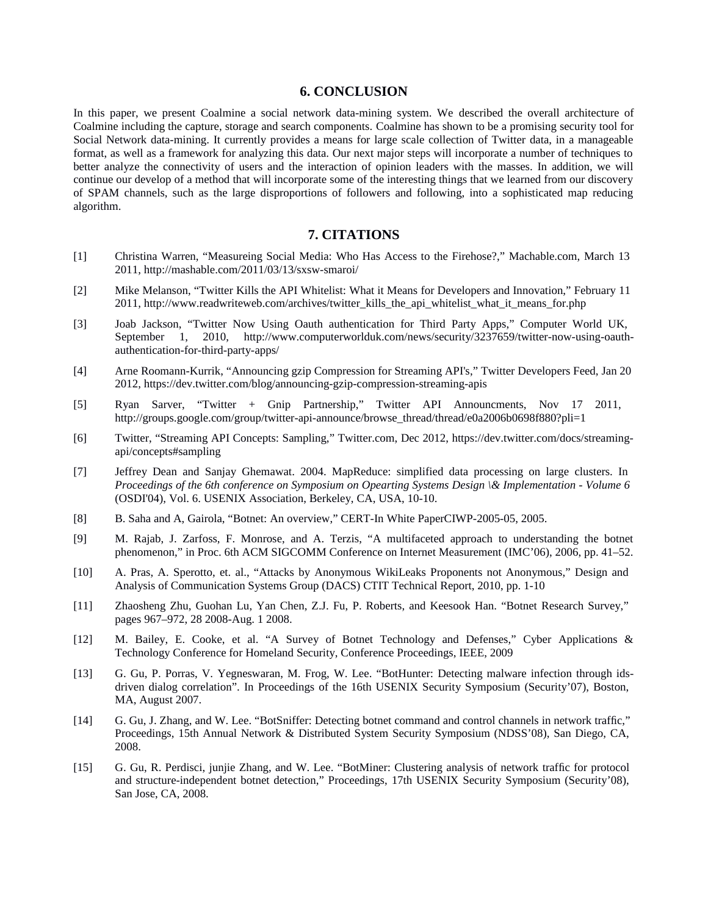#### **6. CONCLUSION**

In this paper, we present Coalmine a social network data-mining system. We described the overall architecture of Coalmine including the capture, storage and search components. Coalmine has shown to be a promising security tool for Social Network data-mining. It currently provides a means for large scale collection of Twitter data, in a manageable format, as well as a framework for analyzing this data. Our next major steps will incorporate a number of techniques to better analyze the connectivity of users and the interaction of opinion leaders with the masses. In addition, we will continue our develop of a method that will incorporate some of the interesting things that we learned from our discovery of SPAM channels, such as the large disproportions of followers and following, into a sophisticated map reducing algorithm.

## **7. CITATIONS**

- [1] Christina Warren, "Measureing Social Media: Who Has Access to the Firehose?," Machable.com, March 13 2011, http://mashable.com/2011/03/13/sxsw-smaroi/
- [2] Mike Melanson, "Twitter Kills the API Whitelist: What it Means for Developers and Innovation," February 11 2011, http://www.readwriteweb.com/archives/twitter\_kills\_the\_api\_whitelist\_what\_it\_means\_for.php
- [3] Joab Jackson, "Twitter Now Using Oauth authentication for Third Party Apps," Computer World UK, September 1, 2010, http://www.computerworlduk.com/news/security/3237659/twitter-now-using-oauthauthentication-for-third-party-apps/
- [4] Arne Roomann-Kurrik, "Announcing gzip Compression for Streaming API's," Twitter Developers Feed, Jan 20 2012, https://dev.twitter.com/blog/announcing-gzip-compression-streaming-apis
- [5] Ryan Sarver, "Twitter + Gnip Partnership," Twitter API Announcments, Nov 17 2011, http://groups.google.com/group/twitter-api-announce/browse\_thread/thread/e0a2006b0698f880?pli=1
- [6] Twitter, "Streaming API Concepts: Sampling," Twitter.com, Dec 2012, https://dev.twitter.com/docs/streamingapi/concepts#sampling
- [7] Jeffrey Dean and Sanjay Ghemawat. 2004. MapReduce: simplified data processing on large clusters. In *Proceedings of the 6th conference on Symposium on Opearting Systems Design \& Implementation - Volume 6* (OSDI'04), Vol. 6. USENIX Association, Berkeley, CA, USA, 10-10.
- [8] B. Saha and A, Gairola, "Botnet: An overview," CERT-In White PaperCIWP-2005-05, 2005.
- [9] M. Rajab, J. Zarfoss, F. Monrose, and A. Terzis, "A multifaceted approach to understanding the botnet phenomenon," in Proc. 6th ACM SIGCOMM Conference on Internet Measurement (IMC'06), 2006, pp. 41–52.
- [10] A. Pras, A. Sperotto, et. al., "Attacks by Anonymous WikiLeaks Proponents not Anonymous," Design and Analysis of Communication Systems Group (DACS) CTIT Technical Report, 2010, pp. 1-10
- [11] Zhaosheng Zhu, Guohan Lu, Yan Chen, Z.J. Fu, P. Roberts, and Keesook Han. "Botnet Research Survey," pages 967–972, 28 2008-Aug. 1 2008.
- [12] M. Bailey, E. Cooke, et al. "A Survey of Botnet Technology and Defenses," Cyber Applications & Technology Conference for Homeland Security, Conference Proceedings, IEEE, 2009
- [13] G. Gu, P. Porras, V. Yegneswaran, M. Frog, W. Lee. "BotHunter: Detecting malware infection through idsdriven dialog correlation". In Proceedings of the 16th USENIX Security Symposium (Security'07), Boston, MA, August 2007.
- [14] G. Gu, J. Zhang, and W. Lee. "BotSniffer: Detecting botnet command and control channels in network traffic," Proceedings, 15th Annual Network & Distributed System Security Symposium (NDSS'08), San Diego, CA, 2008.
- [15] G. Gu, R. Perdisci, junjie Zhang, and W. Lee. "BotMiner: Clustering analysis of network traffic for protocol and structure-independent botnet detection," Proceedings, 17th USENIX Security Symposium (Security'08), San Jose, CA, 2008.